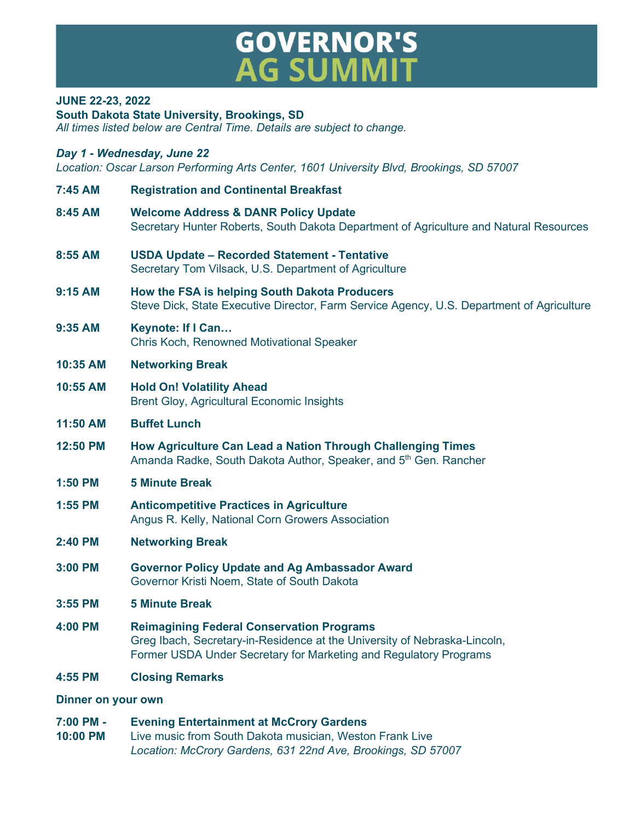## **GOVERNOR'S<br>AG SUMMIT**

## **JUNE 22-23, 2022**

**South Dakota State University, Brookings, SD**

*All times listed below are Central Time. Details are subject to change.*

## *Day 1 - Wednesday, June 22*

*Location: Oscar Larson Performing Arts Center, 1601 University Blvd, Brookings, SD 57007*

- **7:45 AM Registration and Continental Breakfast 8:45 AM Welcome Address & DANR Policy Update**  Secretary Hunter Roberts, South Dakota Department of Agriculture and Natural Resources **8:55 AM USDA Update – Recorded Statement - Tentative** Secretary Tom Vilsack, U.S. Department of Agriculture **9:15 AM How the FSA is helping South Dakota Producers** Steve Dick, State Executive Director, Farm Service Agency, U.S. Department of Agriculture **9:35 AM Keynote: If I Can…** Chris Koch, Renowned Motivational Speaker **10:35 AM Networking Break 10:55 AM Hold On! Volatility Ahead** Brent Gloy, Agricultural Economic Insights **11:50 AM Buffet Lunch 12:50 PM How Agriculture Can Lead a Nation Through Challenging Times** Amanda Radke, South Dakota Author, Speaker, and 5<sup>th</sup> Gen. Rancher **1:50 PM 5 Minute Break 1:55 PM Anticompetitive Practices in Agriculture** Angus R. Kelly, National Corn Growers Association **2:40 PM Networking Break 3:00 PM Governor Policy Update and Ag Ambassador Award** Governor Kristi Noem, State of South Dakota **3:55 PM 5 Minute Break 4:00 PM Reimagining Federal Conservation Programs** Greg Ibach, Secretary-in-Residence at the University of Nebraska-Lincoln, Former USDA Under Secretary for Marketing and Regulatory Programs **4:55 PM Closing Remarks Dinner on your own**
- **7:00 PM - Evening Entertainment at McCrory Gardens 10:00 PM** Live music from South Dakota musician, Weston Frank Live *Location: McCrory Gardens, 631 22nd Ave, Brookings, SD 57007*